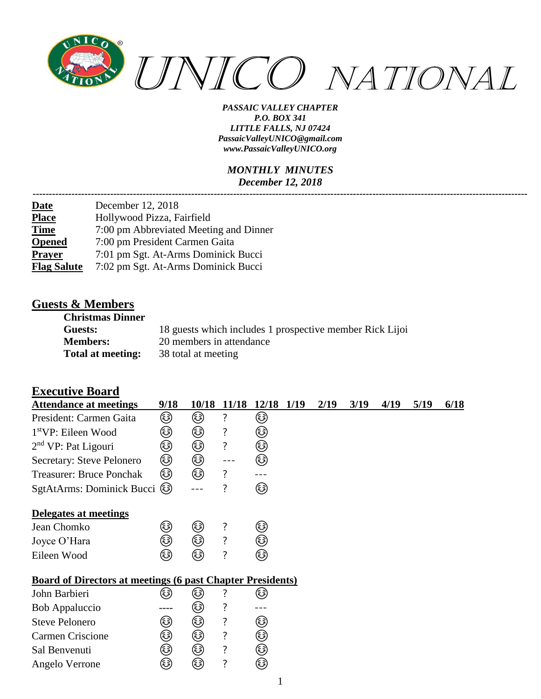

#### *MONTHLY MINUTES December 12, 2018*

| December 12, 2018                      |
|----------------------------------------|
| Hollywood Pizza, Fairfield             |
| 7:00 pm Abbreviated Meeting and Dinner |
| 7:00 pm President Carmen Gaita         |
| 7:01 pm Sgt. At-Arms Dominick Bucci    |
| 7:02 pm Sgt. At-Arms Dominick Bucci    |
|                                        |

### **Guests & Members**

| <b>Christmas Dinner</b>  |                                                          |
|--------------------------|----------------------------------------------------------|
| Guests:                  | 18 guests which includes 1 prospective member Rick Lijoi |
| <b>Members:</b>          | 20 members in attendance                                 |
| <b>Total at meeting:</b> | 38 total at meeting                                      |

### **Executive Board**

| <b>Attendance at meetings</b>                                     | 9/18 | 10/18 | <b>11/18</b> | 12/18 1/19 | 2/19 | 3/19 | 4/19 | 5/19 | 6/18 |
|-------------------------------------------------------------------|------|-------|--------------|------------|------|------|------|------|------|
| President: Carmen Gaita                                           | ☺    | ٨     | ?            | ☺          |      |      |      |      |      |
| $1stVP$ : Eileen Wood                                             | ٨    | ☺     | ?            | ٨          |      |      |      |      |      |
| $2nd VP$ : Pat Ligouri                                            | ☺    | ☺     | ?            | ☺          |      |      |      |      |      |
| Secretary: Steve Pelonero                                         | ☺    | ☺     |              | ☺          |      |      |      |      |      |
| <b>Treasurer: Bruce Ponchak</b>                                   | ٨    | ☞     | ?            |            |      |      |      |      |      |
| SgtAtArms: Dominick Bucci (3)                                     |      |       | ?            | ☺          |      |      |      |      |      |
| Delegates at meetings                                             |      |       |              |            |      |      |      |      |      |
| Jean Chomko                                                       | ٨    | ☺     | ?            | ☺          |      |      |      |      |      |
| Joyce O'Hara                                                      | ٨    | ۵     | ?            | ٨          |      |      |      |      |      |
| Eileen Wood                                                       | (3)  | کہ)   | ?            | ☞          |      |      |      |      |      |
| <b>Board of Directors at meetings (6 past Chapter Presidents)</b> |      |       |              |            |      |      |      |      |      |
| John Barbieri                                                     | کا   | کی    | ?            | ٨          |      |      |      |      |      |
| <b>Bob Appaluccio</b>                                             |      | کی    | ?            |            |      |      |      |      |      |
| <b>Steve Pelonero</b>                                             | ٨    | ☺     | ?            | ☺          |      |      |      |      |      |
| <b>Carmen Criscione</b>                                           | ☺    | ☺     | ?            | ☺          |      |      |      |      |      |
| Sal Benvenuti                                                     | کا   | ٨     | ?            | ☺          |      |      |      |      |      |
| Angelo Verrone                                                    | ☺    | ☺     | ?            | ☺          |      |      |      |      |      |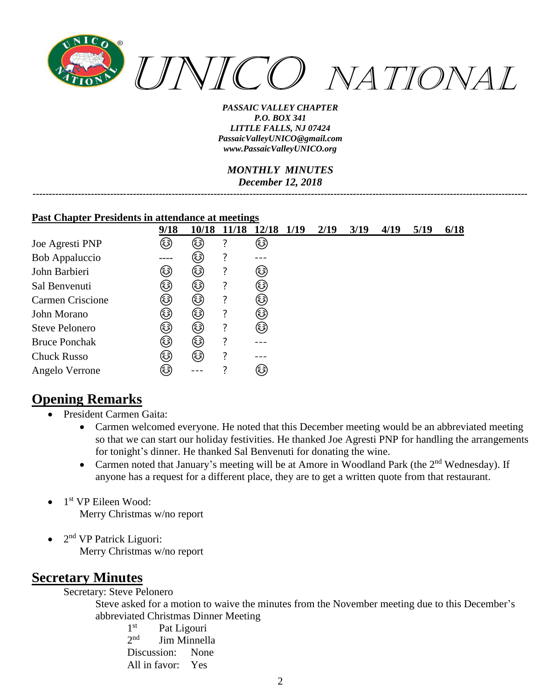

*MONTHLY MINUTES December 12, 2018 ---------------------------------------------------------------------------------------------------------------------------------------------------------*

#### **Past Chapter Presidents in attendance at meetings**

|                       | 9/18   | 10/18 | 11/18 | 12/18 | 1/19 | 2/19 | 3/19 | 4/19 | 5/19 | 6/18 |
|-----------------------|--------|-------|-------|-------|------|------|------|------|------|------|
| Joe Agresti PNP       | ☺      | کی    | ?     | ٨     |      |      |      |      |      |      |
| Bob Appaluccio        |        | (هَ)  | 7     |       |      |      |      |      |      |      |
| John Barbieri         | کہ)    | ٨     | ?     | ٨     |      |      |      |      |      |      |
| Sal Benvenuti         | کی     | کی    | ?     | ٨     |      |      |      |      |      |      |
| Carmen Criscione      | کی     | ٨     | ?     | ☺     |      |      |      |      |      |      |
| John Morano           | (هَهَ) | (هَ)  | ?     | ٨     |      |      |      |      |      |      |
| <b>Steve Pelonero</b> | ٨      | ٤     | ?     | ☺     |      |      |      |      |      |      |
| <b>Bruce Ponchak</b>  | کہ)    | ٤     | 7     |       |      |      |      |      |      |      |
| <b>Chuck Russo</b>    | کہ)    | ☞     | 7     |       |      |      |      |      |      |      |
| Angelo Verrone        | کی     |       |       | ٨     |      |      |      |      |      |      |

# **Opening Remarks**

- President Carmen Gaita:
	- Carmen welcomed everyone. He noted that this December meeting would be an abbreviated meeting so that we can start our holiday festivities. He thanked Joe Agresti PNP for handling the arrangements for tonight's dinner. He thanked Sal Benvenuti for donating the wine.
	- Carmen noted that January's meeting will be at Amore in Woodland Park (the 2<sup>nd</sup> Wednesday). If anyone has a request for a different place, they are to get a written quote from that restaurant.
- 1<sup>st</sup> VP Eileen Wood: Merry Christmas w/no report
- $\bullet$  2<sup>nd</sup> VP Patrick Liguori: Merry Christmas w/no report

## **Secretary Minutes**

Secretary: Steve Pelonero

Steve asked for a motion to waive the minutes from the November meeting due to this December's abbreviated Christmas Dinner Meeting

 $1<sup>st</sup>$ Pat Ligouri  $2<sub>nd</sub>$ Jim Minnella Discussion: None All in favor: Yes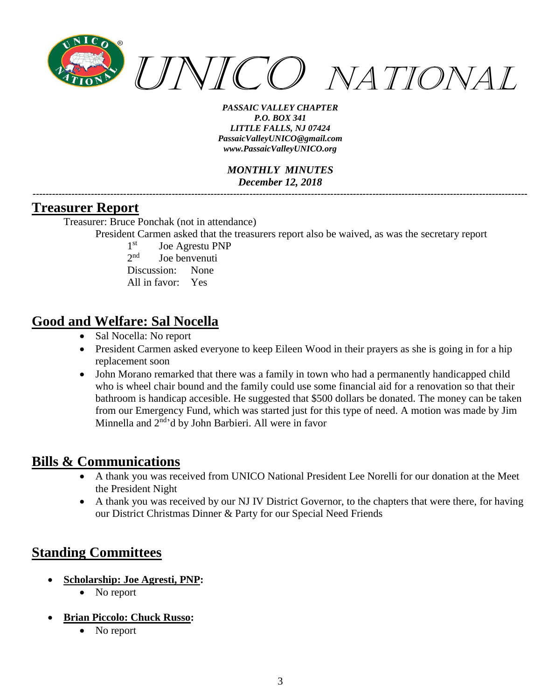

*MONTHLY MINUTES December 12, 2018 ---------------------------------------------------------------------------------------------------------------------------------------------------------*

### **Treasurer Report**

Treasurer: Bruce Ponchak (not in attendance)

President Carmen asked that the treasurers report also be waived, as was the secretary report

 $1<sup>st</sup>$ Joe Agrestu PNP  $2<sub>nd</sub>$ Joe benvenuti Discussion: None All in favor: Yes

## **Good and Welfare: Sal Nocella**

- Sal Nocella: No report
- President Carmen asked everyone to keep Eileen Wood in their prayers as she is going in for a hip replacement soon
- John Morano remarked that there was a family in town who had a permanently handicapped child who is wheel chair bound and the family could use some financial aid for a renovation so that their bathroom is handicap accesible. He suggested that \$500 dollars be donated. The money can be taken from our Emergency Fund, which was started just for this type of need. A motion was made by Jim Minnella and 2<sup>nd</sup>'d by John Barbieri. All were in favor

# **Bills & Communications**

- A thank you was received from UNICO National President Lee Norelli for our donation at the Meet the President Night
- A thank you was received by our NJ IV District Governor, to the chapters that were there, for having our District Christmas Dinner & Party for our Special Need Friends

# **Standing Committees**

- **Scholarship: Joe Agresti, PNP:**
	- No report
- **Brian Piccolo: Chuck Russo:**
	- No report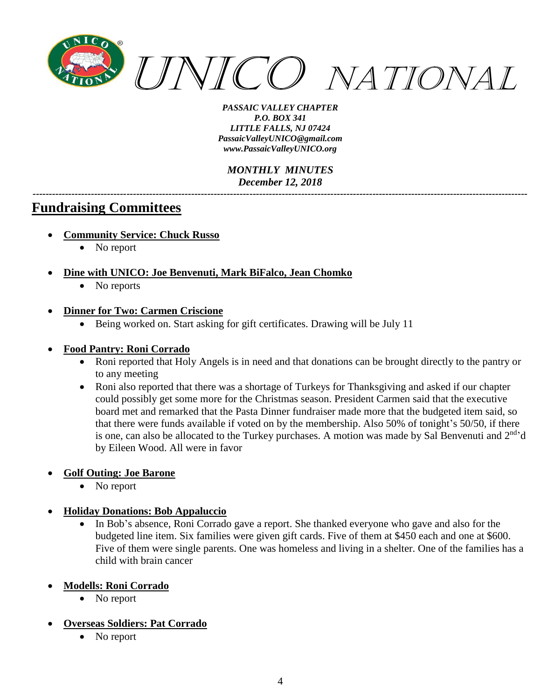

*MONTHLY MINUTES December 12, 2018 ---------------------------------------------------------------------------------------------------------------------------------------------------------*

## **Fundraising Committees**

- **Community Service: Chuck Russo**
	- No report
- **Dine with UNICO: Joe Benvenuti, Mark BiFalco, Jean Chomko**
	- No reports
- **Dinner for Two: Carmen Criscione**
	- Being worked on. Start asking for gift certificates. Drawing will be July 11

#### • **Food Pantry: Roni Corrado**

- Roni reported that Holy Angels is in need and that donations can be brought directly to the pantry or to any meeting
- Roni also reported that there was a shortage of Turkeys for Thanksgiving and asked if our chapter could possibly get some more for the Christmas season. President Carmen said that the executive board met and remarked that the Pasta Dinner fundraiser made more that the budgeted item said, so that there were funds available if voted on by the membership. Also 50% of tonight's 50/50, if there is one, can also be allocated to the Turkey purchases. A motion was made by Sal Benvenuti and  $2<sup>nd</sup>$ d by Eileen Wood. All were in favor

#### • **Golf Outing: Joe Barone**

• No report

#### • **Holiday Donations: Bob Appaluccio**

- In Bob's absence, Roni Corrado gave a report. She thanked everyone who gave and also for the budgeted line item. Six families were given gift cards. Five of them at \$450 each and one at \$600. Five of them were single parents. One was homeless and living in a shelter. One of the families has a child with brain cancer
- **Modells: Roni Corrado**
	- No report
- **Overseas Soldiers: Pat Corrado**
	- No report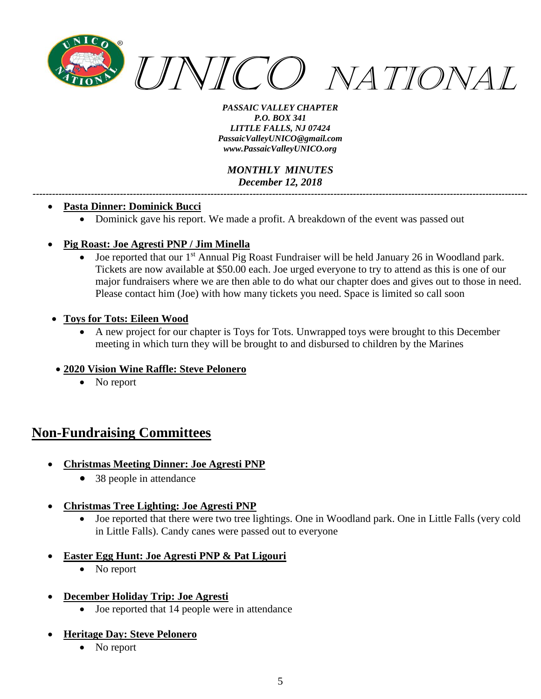

*MONTHLY MINUTES December 12, 2018 ---------------------------------------------------------------------------------------------------------------------------------------------------------*

#### • **Pasta Dinner: Dominick Bucci**

• Dominick gave his report. We made a profit. A breakdown of the event was passed out

#### • **Pig Roast: Joe Agresti PNP / Jim Minella**

- Joe reported that our 1<sup>st</sup> Annual Pig Roast Fundraiser will be held January 26 in Woodland park. Tickets are now available at \$50.00 each. Joe urged everyone to try to attend as this is one of our major fundraisers where we are then able to do what our chapter does and gives out to those in need. Please contact him (Joe) with how many tickets you need. Space is limited so call soon
- **Toys for Tots: Eileen Wood**
	- A new project for our chapter is Toys for Tots. Unwrapped toys were brought to this December meeting in which turn they will be brought to and disbursed to children by the Marines

#### • **2020 Vision Wine Raffle: Steve Pelonero**

• No report

## **Non-Fundraising Committees**

- **Christmas Meeting Dinner: Joe Agresti PNP**
	- 38 people in attendance
- **Christmas Tree Lighting: Joe Agresti PNP**
	- Joe reported that there were two tree lightings. One in Woodland park. One in Little Falls (very cold in Little Falls). Candy canes were passed out to everyone
- **Easter Egg Hunt: Joe Agresti PNP & Pat Ligouri**
	- No report
- **December Holiday Trip: Joe Agresti**
	- Joe reported that 14 people were in attendance

#### • **Heritage Day: Steve Pelonero**

• No report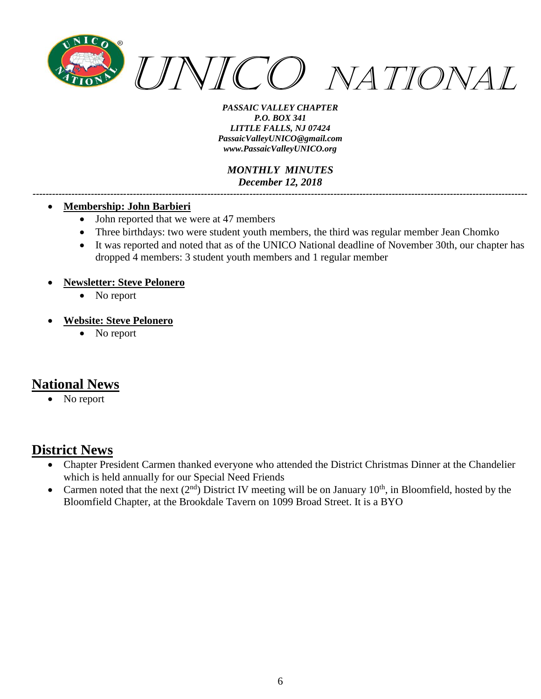

*MONTHLY MINUTES December 12, 2018 ---------------------------------------------------------------------------------------------------------------------------------------------------------*

#### • **Membership: John Barbieri**

- John reported that we were at 47 members
- Three birthdays: two were student youth members, the third was regular member Jean Chomko
- It was reported and noted that as of the UNICO National deadline of November 30th, our chapter has dropped 4 members: 3 student youth members and 1 regular member

#### • **Newsletter: Steve Pelonero**

- No report
- **Website: Steve Pelonero**
	- No report

## **National News**

No report

### **District News**

- Chapter President Carmen thanked everyone who attended the District Christmas Dinner at the Chandelier which is held annually for our Special Need Friends
- Carmen noted that the next  $(2^{nd})$  District IV meeting will be on January  $10^{th}$ , in Bloomfield, hosted by the Bloomfield Chapter, at the Brookdale Tavern on 1099 Broad Street. It is a BYO